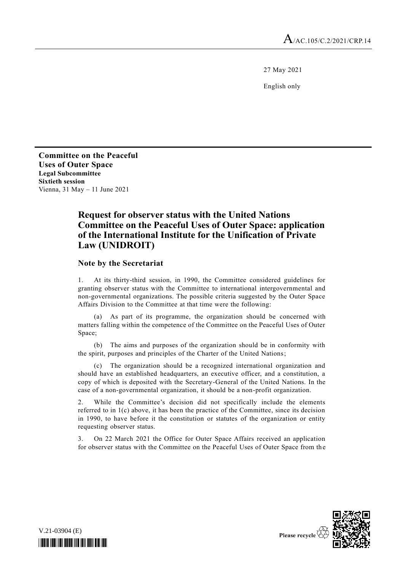27 May 2021

English only

**Committee on the Peaceful Uses of Outer Space Legal Subcommittee Sixtieth session** Vienna, 31 May – 11 June 2021

# **Request for observer status with the United Nations Committee on the Peaceful Uses of Outer Space: application of the International Institute for the Unification of Private Law (UNIDROIT)**

# **Note by the Secretariat**

1. At its thirty-third session, in 1990, the Committee considered guidelines for granting observer status with the Committee to international intergovernmental and non-governmental organizations. The possible criteria suggested by the Outer Space Affairs Division to the Committee at that time were the following:

(a) As part of its programme, the organization should be concerned with matters falling within the competence of the Committee on the Peaceful Uses of Outer Space;

(b) The aims and purposes of the organization should be in conformity with the spirit, purposes and principles of the Charter of the United Nations;

(c) The organization should be a recognized international organization and should have an established headquarters, an executive officer, and a constitution, a copy of which is deposited with the Secretary-General of the United Nations. In the case of a non-governmental organization, it should be a non-profit organization.

2. While the Committee's decision did not specifically include the elements referred to in 1(c) above, it has been the practice of the Committee, since its decision in 1990, to have before it the constitution or statutes of the organization or entity requesting observer status.

3. On 22 March 2021 the Office for Outer Space Affairs received an application for observer status with the Committee on the Peaceful Uses of Outer Space from the



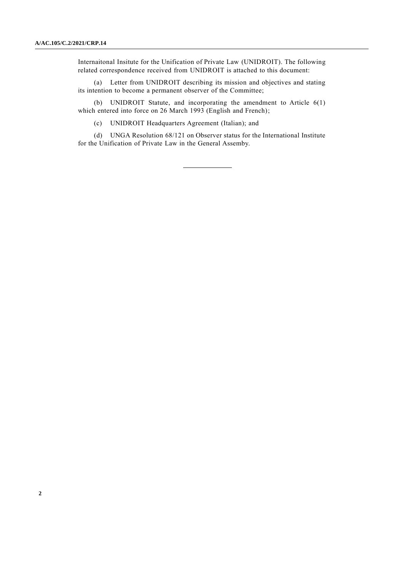Internaitonal Insitute for the Unification of Private Law (UNIDROIT). The following related correspondence received from UNIDROIT is attached to this document:

(a) Letter from UNIDROIT describing its mission and objectives and stating its intention to become a permanent observer of the Committee;

(b) UNIDROIT Statute, and incorporating the amendment to Article 6(1) which entered into force on 26 March 1993 (English and French);

(c) UNIDROIT Headquarters Agreement (Italian); and

(d) UNGA Resolution 68/121 on Observer status for the International Institute for the Unification of Private Law in the General Assemby.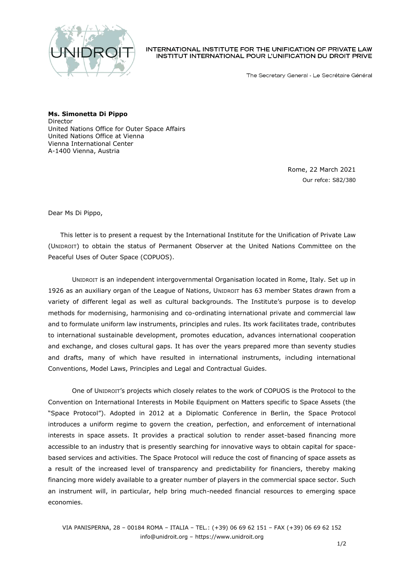

INTERNATIONAL INSTITUTE FOR THE UNIFICATION OF PRIVATE LAW INSTITUT INTERNATIONAL POUR L'UNIFICATION DU DROIT PRIVE

The Secretary General - Le Secrétaire Général

**Ms. Simonetta Di Pippo** Director United Nations Office for Outer Space Affairs United Nations Office at Vienna Vienna International Center A-1400 Vienna, Austria

> Rome, 22 March 2021 Our refce: S82/380

Dear Ms Di Pippo,

This letter is to present a request by the International Institute for the Unification of Private Law (UNIDROIT) to obtain the status of Permanent Observer at the United Nations Committee on the Peaceful Uses of Outer Space (COPUOS).

UNIDROIT is an independent intergovernmental Organisation located in Rome, Italy. Set up in 1926 as an auxiliary organ of the League of Nations, UNIDROIT has 63 member States drawn from a variety of different legal as well as cultural backgrounds. The Institute's purpose is to develop methods for modernising, harmonising and co-ordinating international private and commercial law and to formulate uniform law instruments, principles and rules. Its work facilitates trade, contributes to international sustainable development, promotes education, advances international cooperation and exchange, and closes cultural gaps. It has over the years prepared more than seventy studies and drafts, many of which have resulted in international instruments, including international Conventions, Model Laws, Principles and Legal and Contractual Guides.

One of UNIDROIT's projects which closely relates to the work of COPUOS is the Protocol to the Convention on International Interests in Mobile Equipment on Matters specific to Space Assets (the "Space Protocol"). Adopted in 2012 at a Diplomatic Conference in Berlin, the Space Protocol introduces a uniform regime to govern the creation, perfection, and enforcement of international interests in space assets. It provides a practical solution to render asset-based financing more accessible to an industry that is presently searching for innovative ways to obtain capital for spacebased services and activities. The Space Protocol will reduce the cost of financing of space assets as a result of the increased level of transparency and predictability for financiers, thereby making financing more widely available to a greater number of players in the commercial space sector. Such an instrument will, in particular, help bring much-needed financial resources to emerging space economies.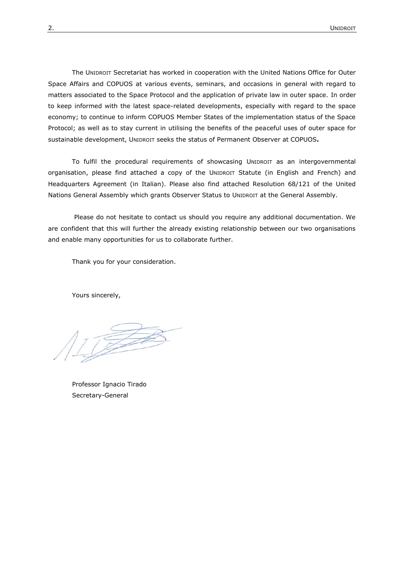The UNIDROIT Secretariat has worked in cooperation with the United Nations Office for Outer Space Affairs and COPUOS at various events, seminars, and occasions in general with regard to matters associated to the Space Protocol and the application of private law in outer space. In order to keep informed with the latest space-related developments, especially with regard to the space economy; to continue to inform COPUOS Member States of the implementation status of the Space Protocol; as well as to stay current in utilising the benefits of the peaceful uses of outer space for sustainable development, UNIDROIT seeks the status of Permanent Observer at COPUOS**.**

To fulfil the procedural requirements of showcasing UNIDROIT as an intergovernmental organisation, please find attached a copy of the UNIDROIT Statute (in English and French) and Headquarters Agreement (in Italian). Please also find attached Resolution 68/121 of the United Nations General Assembly which grants Observer Status to UNIDROIT at the General Assembly.

Please do not hesitate to contact us should you require any additional documentation. We are confident that this will further the already existing relationship between our two organisations and enable many opportunities for us to collaborate further.

Thank you for your consideration.

Yours sincerely,

Professor Ignacio Tirado Secretary-General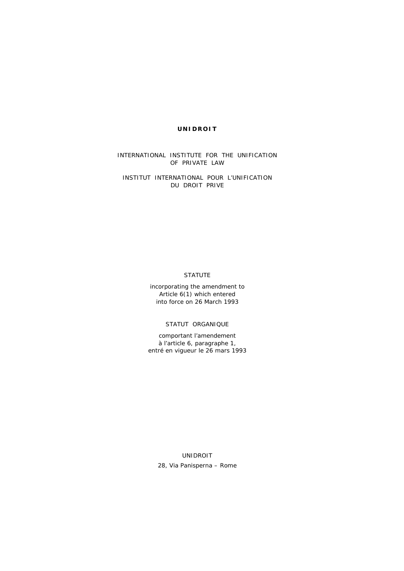## **UNIDROIT**

INTERNATIONAL INSTITUTE FOR THE UNIFICATION OF PRIVATE LAW

*INSTITUT INTERNATIONAL POUR L'UNIFICATION DU DROIT PRIVE* 

# STATUTE

incorporating the amendment to Article  $6(1)$  which entered into force on 26 March 1993

*STATUT ORGANIQUE* 

*comportant l'amendement à l'article 6, paragraphe 1, entré en vigueur le 26 mars 1993* 

UNIDROIT 28, Via Panisperna – Rome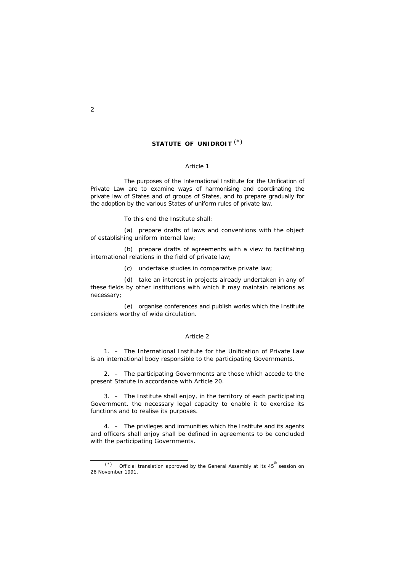# **STATUTE OF UNIDROIT** (\*)

#### *Article 1*

 The purposes of the International Institute for the Unification of Private Law are to examine ways of harmonising and coordinating the private law of States and of groups of States, and to prepare gradually for the adoption by the various States of uniform rules of private law.

To this end the Institute shall:

 (a) prepare drafts of laws and conventions with the object of establishing uniform internal law;

 (b) prepare drafts of agreements with a view to facilitating international relations in the field of private law;

(c) undertake studies in comparative private law;

 (d) take an interest in projects already undertaken in any of these fields by other institutions with which it may maintain relations as necessary;

 (e) organise conferences and publish works which the Institute considers worthy of wide circulation.

#### *Article 2*

 1. – The International Institute for the Unification of Private Law is an international body responsible to the participating Governments.

 2. – The participating Governments are those which accede to the present Statute in accordance with Article 20.

 3. – The Institute shall enjoy, in the territory of each participating Government, the necessary legal capacity to enable it to exercise its functions and to realise its purposes.

 4. – The privileges and immunities which the Institute and its agents and officers shall enjoy shall be defined in agreements to be concluded with the participating Governments.

i<br>L

 $(*)$  Official translation approved by the General Assembly at its 45<sup>th</sup> session on 26 November 1991.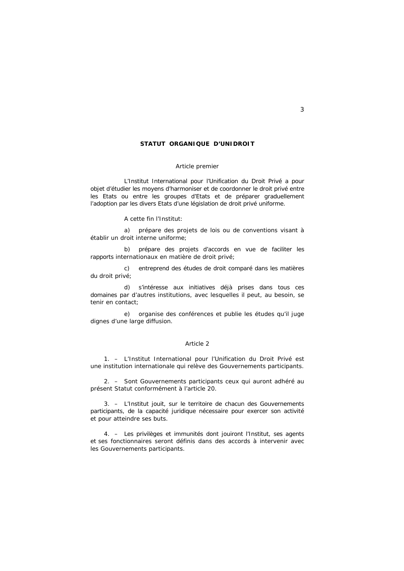## **STATUT ORGANIQUE D'UNIDROIT**

#### *Article premier*

 L'Institut International pour l'Unification du Droit Privé a pour objet d'étudier les moyens d'harmoniser et de coordonner le droit privé entre les Etats ou entre les groupes d'Etats et de préparer graduellement l'adoption par les divers Etats d'une législation de droit privé uniforme.

A cette fin l'Institut:

 a) prépare des projets de lois ou de conventions visant à établir un droit interne uniforme;

 b) prépare des projets d'accords en vue de faciliter les rapports internationaux en matière de droit privé;

 c) entreprend des études de droit comparé dans les matières du droit privé;

 d) s'intéresse aux initiatives déjà prises dans tous ces domaines par d'autres institutions, avec lesquelles il peut, au besoin, se tenir en contact;

 e) organise des conférences et publie les études qu'il juge dignes d'une large diffusion.

#### *Article 2*

 1. – L'Institut International pour l'Unification du Droit Privé est une institution internationale qui relève des Gouvernements participants.

 2. – Sont Gouvernements participants ceux qui auront adhéré au présent Statut conformément à l'article 20.

 3. – L'Institut jouit, sur le territoire de chacun des Gouvernements participants, de la capacité juridique nécessaire pour exercer son activité et pour atteindre ses buts.

 4. – Les privilèges et immunités dont jouiront l'Institut, ses agents et ses fonctionnaires seront définis dans des accords à intervenir avec les Gouvernements participants.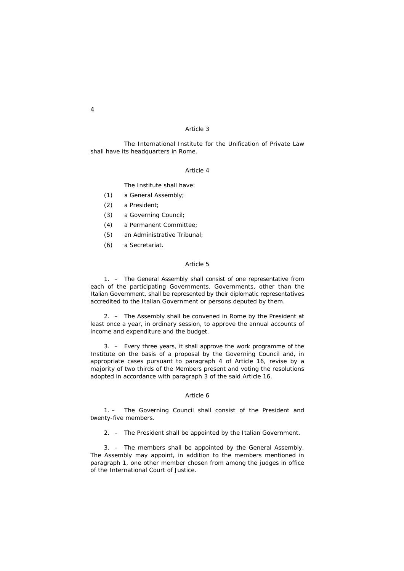The International Institute for the Unification of Private Law shall have its headquarters in Rome.

# *Article 4*

The Institute shall have:

- (1) a General Assembly;
- (2) a President;
- (3) a Governing Council;
- (4) a Permanent Committee;
- (5) an Administrative Tribunal;
- (6) a Secretariat.

## *Article 5*

 1. – The General Assembly shall consist of one representative from each of the participating Governments. Governments, other than the Italian Government, shall be represented by their diplomatic representatives accredited to the Italian Government or persons deputed by them.

 2. – The Assembly shall be convened in Rome by the President at least once a year, in ordinary session, to approve the annual accounts of income and expenditure and the budget.

 3. – Every three years, it shall approve the work programme of the Institute on the basis of a proposal by the Governing Council and, in appropriate cases pursuant to paragraph 4 of Article 16, revise by a majority of two thirds of the Members present and voting the resolutions adopted in accordance with paragraph 3 of the said Article 16.

#### *Article 6*

 1. – The Governing Council shall consist of the President and twenty-five members.

2. – The President shall be appointed by the Italian Government.

 3. – The members shall be appointed by the General Assembly. The Assembly may appoint, in addition to the members mentioned in paragraph 1, one other member chosen from among the judges in office of the International Court of Justice.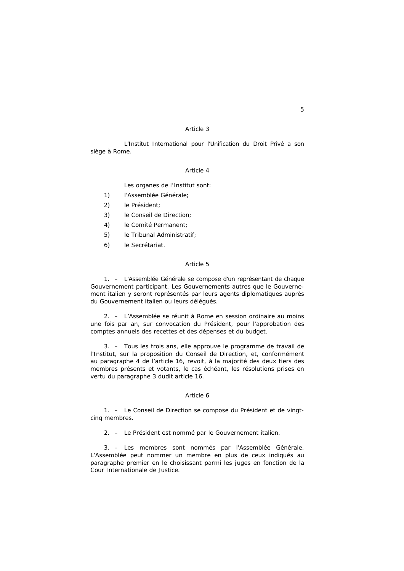L'Institut International pour l'Unification du Droit Privé a son siège à Rome.

#### *Article 4*

Les organes de l'Institut sont:

- 1) l'Assemblée Générale;
- 2) le Président;
- 3) le Conseil de Direction;
- 4) le Comité Permanent;
- 5) le Tribunal Administratif;
- 6) le Secrétariat.

## *Article 5*

 1. – L'Assemblée Générale se compose d'un représentant de chaque Gouvernement participant. Les Gouvernements autres que le Gouvernement italien y seront représentés par leurs agents diplomatiques auprès du Gouvernement italien ou leurs délégués.

 2. – L'Assemblée se réunit à Rome en session ordinaire au moins une fois par an, sur convocation du Président, pour l'approbation des comptes annuels des recettes et des dépenses et du budget.

 3. – Tous les trois ans, elle approuve le programme de travail de l'Institut, sur la proposition du Conseil de Direction, et, conformément au paragraphe 4 de l'article 16, revoit, à la majorité des deux tiers des membres présents et votants, le cas échéant, les résolutions prises en vertu du paragraphe 3 dudit article 16.

#### *Article 6*

 1. – Le Conseil de Direction se compose du Président et de vingtcinq membres.

2. – Le Président est nommé par le Gouvernement italien.

 3. – Les membres sont nommés par l'Assemblée Générale. L'Assemblée peut nommer un membre en plus de ceux indiqués au paragraphe premier en le choisissant parmi les juges en fonction de la Cour Internationale de Justice.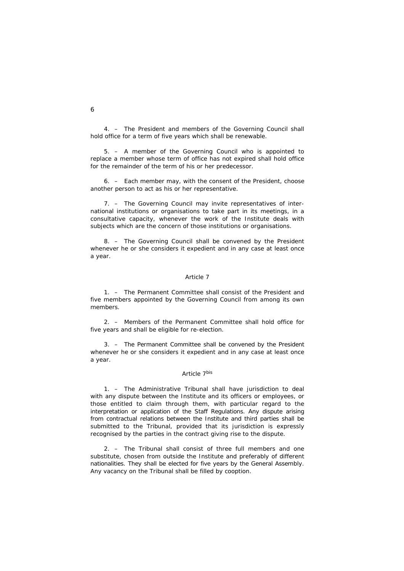4. – The President and members of the Governing Council shall hold office for a term of five years which shall be renewable.

 5. – A member of the Governing Council who is appointed to replace a member whose term of office has not expired shall hold office for the remainder of the term of his or her predecessor.

 6. – Each member may, with the consent of the President, choose another person to act as his or her representative.

 7. – The Governing Council may invite representatives of international institutions or organisations to take part in its meetings, in a consultative capacity, whenever the work of the Institute deals with subjects which are the concern of those institutions or organisations.

 8. – The Governing Council shall be convened by the President whenever he or she considers it expedient and in any case at least once a year.

#### *Article 7*

 1. – The Permanent Committee shall consist of the President and five members appointed by the Governing Council from among its own members.

 2. – Members of the Permanent Committee shall hold office for five years and shall be eligible for re-election.

 3. – The Permanent Committee shall be convened by the President whenever he or she considers it expedient and in any case at least once a year.

## *Article 7bis*

 1. – The Administrative Tribunal shall have jurisdiction to deal with any dispute between the Institute and its officers or employees, or those entitled to claim through them, with particular regard to the interpretation or application of the Staff Regulations. Any dispute arising from contractual relations between the Institute and third parties shall be submitted to the Tribunal, provided that its jurisdiction is expressly recognised by the parties in the contract giving rise to the dispute.

 2. – The Tribunal shall consist of three full members and one substitute, chosen from outside the Institute and preferably of different nationalities. They shall be elected for five years by the General Assembly. Any vacancy on the Tribunal shall be filled by cooption.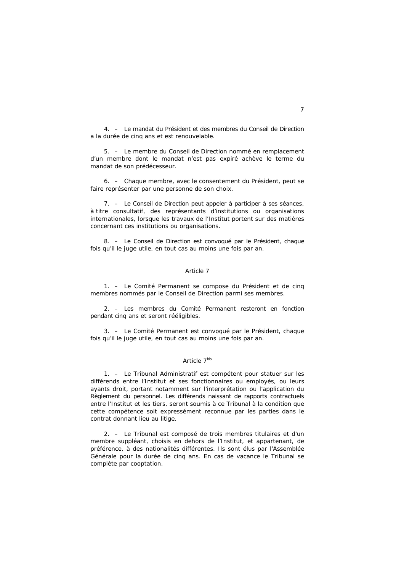4. – Le mandat du Président et des membres du Conseil de Direction a la durée de cinq ans et est renouvelable.

 5. – Le membre du Conseil de Direction nommé en remplacement d'un membre dont le mandat n'est pas expiré achève le terme du mandat de son prédécesseur.

 6. – Chaque membre, avec le consentement du Président, peut se faire représenter par une personne de son choix.

 7. – Le Conseil de Direction peut appeler à participer à ses séances, à titre consultatif, des représentants d'institutions ou organisations internationales, lorsque les travaux de l'Institut portent sur des matières concernant ces institutions ou organisations.

 8. – Le Conseil de Direction est convoqué par le Président, chaque fois qu'il le juge utile, en tout cas au moins une fois par an.

#### *Article 7*

 1. – Le Comité Permanent se compose du Président et de cinq membres nommés par le Conseil de Direction parmi ses membres.

 2. – Les membres du Comité Permanent resteront en fonction pendant cinq ans et seront rééligibles.

 3. – Le Comité Permanent est convoqué par le Président, chaque fois qu'il le juge utile, en tout cas au moins une fois par an.

## *Article 7bis*

 1. – Le Tribunal Administratif est compétent pour statuer sur les différends entre l'Institut et ses fonctionnaires ou employés, ou leurs ayants droit, portant notamment sur l'interprétation ou l'application du Règlement du personnel. Les différends naissant de rapports contractuels entre l'Institut et les tiers, seront soumis à ce Tribunal à la condition que cette compétence soit expressément reconnue par les parties dans le contrat donnant lieu au litige.

 2. – Le Tribunal est composé de trois membres titulaires et d'un membre suppléant, choisis en dehors de l'Institut, et appartenant, de préférence, à des nationalités différentes. Ils sont élus par l'Assemblée Générale pour la durée de cinq ans. En cas de vacance le Tribunal se complète par cooptation.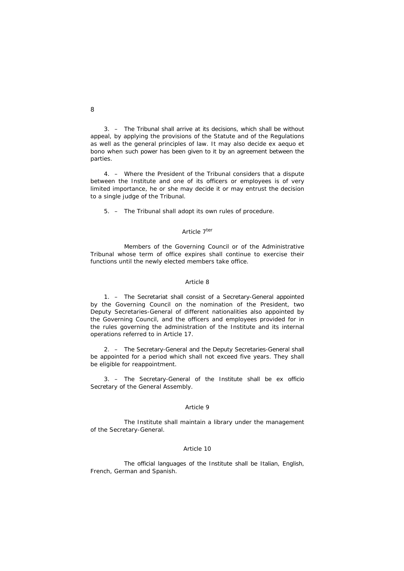3. – The Tribunal shall arrive at its decisions, which shall be without appeal, by applying the provisions of the Statute and of the Regulations as well as the general principles of law. It may also decide *ex aequo et bono* when such power has been given to it by an agreement between the parties.

 4. – Where the President of the Tribunal considers that a dispute between the Institute and one of its officers or employees is of very limited importance, he or she may decide it or may entrust the decision to a single judge of the Tribunal.

5. – The Tribunal shall adopt its own rules of procedure.

#### *Article 7ter*

 Members of the Governing Council or of the Administrative Tribunal whose term of office expires shall continue to exercise their functions until the newly elected members take office.

#### *Article 8*

 1. – The Secretariat shall consist of a Secretary-General appointed by the Governing Council on the nomination of the President, two Deputy Secretaries-General of different nationalities also appointed by the Governing Council, and the officers and employees provided for in the rules governing the administration of the Institute and its internal operations referred to in Article 17.

 2. – The Secretary-General and the Deputy Secretaries-General shall be appointed for a period which shall not exceed five years. They shall be eligible for reappointment.

 3. – The Secretary-General of the Institute shall be *ex officio* Secretary of the General Assembly.

#### *Article 9*

 The Institute shall maintain a library under the management of the Secretary-General.

## *Article 10*

 The official languages of the Institute shall be Italian, English, French, German and Spanish.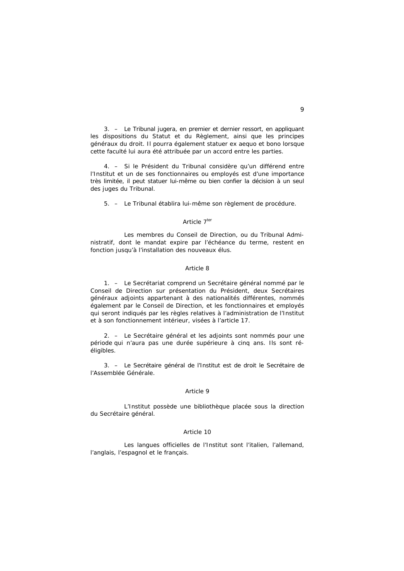3. – Le Tribunal jugera, en premier et dernier ressort, en appliquant les dispositions du Statut et du Règlement, ainsi que les principes généraux du droit. Il pourra également statuer *ex aequo et bono* lorsque cette faculté lui aura été attribuée par un accord entre les parties.

 4. – Si le Président du Tribunal considère qu'un différend entre l'Institut et un de ses fonctionnaires ou employés est d'une importance très limitée, il peut statuer lui-même ou bien confier la décision à un seul des juges du Tribunal.

5. – Le Tribunal établira lui-même son règlement de procédure.

## *Article 7ter*

 Les membres du Conseil de Direction, ou du Tribunal Administratif, dont le mandat expire par l'échéance du terme, restent en fonction jusqu'à l'installation des nouveaux élus.

#### *Article 8*

 1. – Le Secrétariat comprend un Secrétaire général nommé par le Conseil de Direction sur présentation du Président, deux Secrétaires généraux adjoints appartenant à des nationalités différentes, nommés également par le Conseil de Direction, et les fonctionnaires et employés qui seront indiqués par les règles relatives à l'administration de l'Institut et à son fonctionnement intérieur, visées à l'article 17.

 2. – Le Secrétaire général et les adjoints sont nommés pour une période qui n'aura pas une durée supérieure à cinq ans. Ils sont rééligibles.

 3. – Le Secrétaire général de l'Institut est de droit le Secrétaire de l'Assemblée Générale.

#### *Article 9*

 L'Institut possède une bibliothèque placée sous la direction du Secrétaire général.

#### *Article 10*

 Les langues officielles de l'Institut sont l'italien, l'allemand, l'anglais, l'espagnol et le français.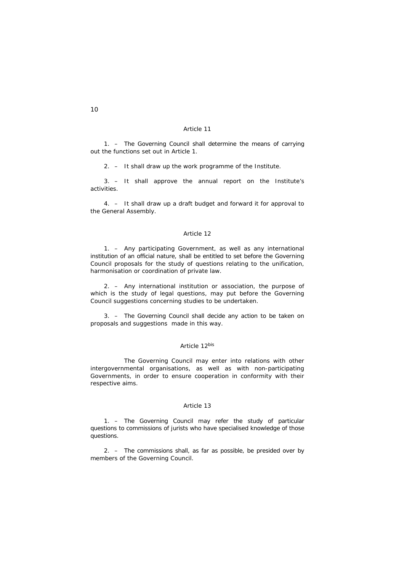1. – The Governing Council shall determine the means of carrying out the functions set out in Article 1.

2. – It shall draw up the work programme of the Institute.

 3. – It shall approve the annual report on the Institute's activities.

 4. – It shall draw up a draft budget and forward it for approval to the General Assembly.

## *Article 12*

 1. – Any participating Government, as well as any international institution of an official nature, shall be entitled to set before the Governing Council proposals for the study of questions relating to the unification, harmonisation or coordination of private law.

 2. – Any international institution or association, the purpose of which is the study of legal questions, may put before the Governing Council suggestions concerning studies to be undertaken.

 3. – The Governing Council shall decide any action to be taken on proposals and suggestions made in this way.

## *Article 12bis*

 The Governing Council may enter into relations with other intergovernmental organisations, as well as with non-participating Governments, in order to ensure cooperation in conformity with their respective aims.

#### *Article 13*

 1. – The Governing Council may refer the study of particular questions to commissions of jurists who have specialised knowledge of those questions.

 2. – The commissions shall, as far as possible, be presided over by members of the Governing Council.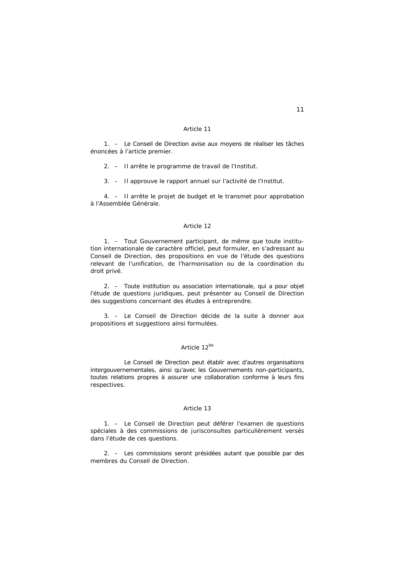1. – Le Conseil de Direction avise aux moyens de réaliser les tâches énoncées à l'article premier.

2. – Il arrête le programme de travail de l'Institut.

3. – Il approuve le rapport annuel sur l'activité de l'Institut.

 4. – Il arrête le projet de budget et le transmet pour approbation à l'Assemblée Générale.

## *Article 12*

 1. – Tout Gouvernement participant, de même que toute institution internationale de caractère officiel, peut formuler, en s'adressant au Conseil de Direction, des propositions en vue de l'étude des questions relevant de l'unification, de l'harmonisation ou de la coordination du droit privé.

 2. – Toute institution ou association internationale, qui a pour objet l'étude de questions juridiques, peut présenter au Conseil de Direction des suggestions concernant des études à entreprendre.

 3. – Le Conseil de Direction décide de la suite à donner aux propositions et suggestions ainsi formulées.

## *Article 12bis*

 Le Conseil de Direction peut établir avec d'autres organisations intergouvernementales, ainsi qu'avec les Gouvernements non-participants, toutes relations propres à assurer une collaboration conforme à leurs fins respectives.

#### *Article 13*

 1. – Le Conseil de Direction peut déférer l'examen de questions spéciales à des commissions de jurisconsultes particulièrement versés dans l'étude de ces questions.

 2. – Les commissions seront présidées autant que possible par des membres du Conseil de Direction.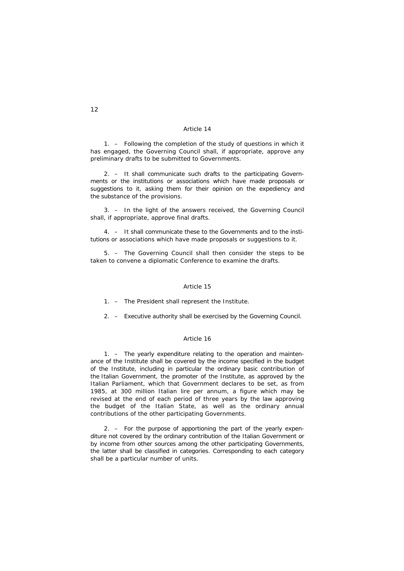1. – Following the completion of the study of questions in which it has engaged, the Governing Council shall, if appropriate, approve any preliminary drafts to be submitted to Governments.

 2. – It shall communicate such drafts to the participating Governments or the institutions or associations which have made proposals or suggestions to it, asking them for their opinion on the expediency and the substance of the provisions.

 3. – In the light of the answers received, the Governing Council shall, if appropriate, approve final drafts.

 4. – It shall communicate these to the Governments and to the institutions or associations which have made proposals or suggestions to it.

 5. – The Governing Council shall then consider the steps to be taken to convene a diplomatic Conference to examine the drafts.

## *Article 15*

1. – The President shall represent the Institute.

2. – Executive authority shall be exercised by the Governing Council.

#### *Article 16*

 1. – The yearly expenditure relating to the operation and maintenance of the Institute shall be covered by the income specified in the budget of the Institute, including in particular the ordinary basic contribution of the Italian Government, the promoter of the Institute, as approved by the Italian Parliament, which that Government declares to be set, as from 1985, at 300 million Italian lire per annum, a figure which may be revised at the end of each period of three years by the law approving the budget of the Italian State, as well as the ordinary annual contributions of the other participating Governments.

 2. – For the purpose of apportioning the part of the yearly expenditure not covered by the ordinary contribution of the Italian Government or by income from other sources among the other participating Governments, the latter shall be classified in categories. Corresponding to each category shall be a particular number of units.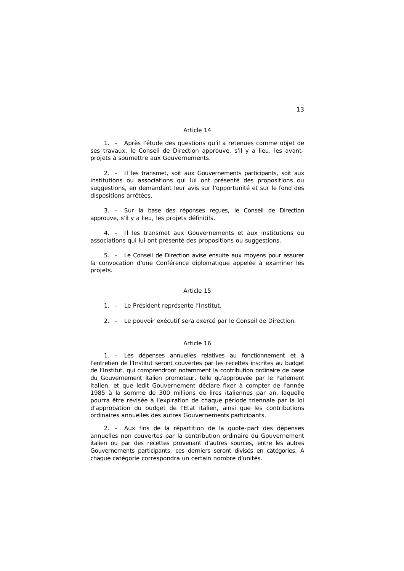1. – Après l'étude des questions qu'il a retenues comme objet de ses travaux, le Conseil de Direction approuve, s'il y a lieu, les avantprojets à soumettre aux Gouvernements.

 2. – Il les transmet, soit aux Gouvernements participants, soit aux institutions ou associations qui lui ont présenté des propositions ou suggestions, en demandant leur avis sur l'opportunité et sur le fond des dispositions arrêtées.

 3. – Sur la base des réponses reçues, le Conseil de Direction approuve, s'il y a lieu, les projets définitifs.

 4. – Il les transmet aux Gouvernements et aux institutions ou associations qui lui ont présenté des propositions ou suggestions.

 5. – Le Conseil de Direction avise ensuite aux moyens pour assurer la convocation d'une Conférence diplomatique appelée à examiner les projets.

#### *Article 15*

1. – Le Président représente l'Institut.

2. – Le pouvoir exécutif sera exercé par le Conseil de Direction.

#### *Article 16*

 1. – Les dépenses annuelles relatives au fonctionnement et à l'entretien de l'Institut seront couvertes par les recettes inscrites au budget de l'Institut, qui comprendront notamment la contribution ordinaire de base du Gouvernement italien promoteur, telle qu'approuvée par le Parlement italien, et que ledit Gouvernement déclare fixer à compter de l'année 1985 à la somme de 300 millions de lires italiennes par an, laquelle pourra être révisée à l'expiration de chaque période triennale par la loi d'approbation du budget de l'Etat italien, ainsi que les contributions ordinaires annuelles des autres Gouvernements participants.

 2. – Aux fins de la répartition de la quote-part des dépenses annuelles non couvertes par la contribution ordinaire du Gouvernement italien ou par des recettes provenant d'autres sources, entre les autres Gouvernements participants, ces derniers seront divisés en catégories. A chaque catégorie correspondra un certain nombre d'unités.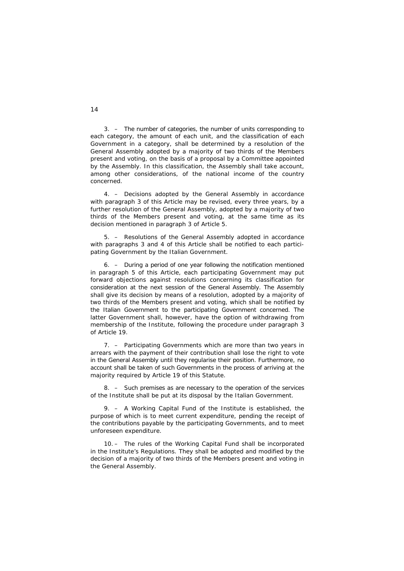3. – The number of categories, the number of units corresponding to each category, the amount of each unit, and the classification of each Government in a category, shall be determined by a resolution of the General Assembly adopted by a majority of two thirds of the Members present and voting, on the basis of a proposal by a Committee appointed by the Assembly. In this classification, the Assembly shall take account, among other considerations, of the national income of the country concerned.

 4. – Decisions adopted by the General Assembly in accordance with paragraph 3 of this Article may be revised, every three years, by a further resolution of the General Assembly, adopted by a majority of two thirds of the Members present and voting, at the same time as its decision mentioned in paragraph 3 of Article 5.

 5. – Resolutions of the General Assembly adopted in accordance with paragraphs 3 and 4 of this Article shall be notified to each participating Government by the Italian Government.

 6. – During a period of one year following the notification mentioned in paragraph 5 of this Article, each participating Government may put forward objections against resolutions concerning its classification for consideration at the next session of the General Assembly. The Assembly shall give its decision by means of a resolution, adopted by a majority of two thirds of the Members present and voting, which shall be notified by the Italian Government to the participating Government concerned. The latter Government shall, however, have the option of withdrawing from membership of the Institute, following the procedure under paragraph 3 of Article 19.

 7. – Participating Governments which are more than two years in arrears with the payment of their contribution shall lose the right to vote in the General Assembly until they regularise their position. Furthermore, no account shall be taken of such Governments in the process of arriving at the majority required by Article 19 of this Statute.

 8. – Such premises as are necessary to the operation of the services of the Institute shall be put at its disposal by the Italian Government.

 9. – A Working Capital Fund of the Institute is established, the purpose of which is to meet current expenditure, pending the receipt of the contributions payable by the participating Governments, and to meet unforeseen expenditure.

 10. – The rules of the Working Capital Fund shall be incorporated in the Institute's Regulations. They shall be adopted and modified by the decision of a majority of two thirds of the Members present and voting in the General Assembly.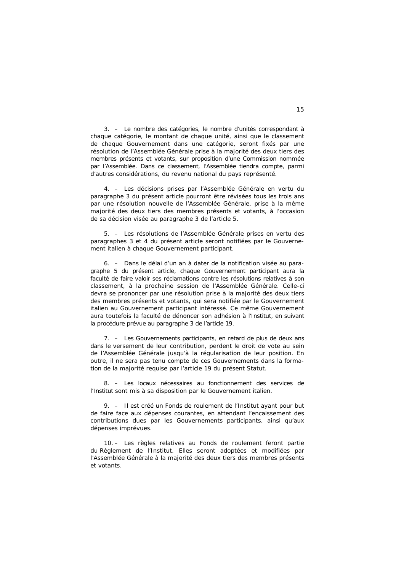3. – Le nombre des catégories, le nombre d'unités correspondant à chaque catégorie, le montant de chaque unité, ainsi que le classement de chaque Gouvernement dans une catégorie, seront fixés par une résolution de l'Assemblée Générale prise à la majorité des deux tiers des membres présents et votants, sur proposition d'une Commission nommée par l'Assemblée. Dans ce classement, l'Assemblée tiendra compte, parmi d'autres considérations, du revenu national du pays représenté.

 4. – Les décisions prises par l'Assemblée Générale en vertu du paragraphe 3 du présent article pourront être révisées tous les trois ans par une résolution nouvelle de l'Assemblée Générale, prise à la même majorité des deux tiers des membres présents et votants, à l'occasion de sa décision visée au paragraphe 3 de l'article 5.

 5. – Les résolutions de l'Assemblée Générale prises en vertu des paragraphes 3 et 4 du présent article seront notifiées par le Gouvernement italien à chaque Gouvernement participant.

 6. – Dans le délai d'un an à dater de la notification visée au paragraphe 5 du présent article, chaque Gouvernement participant aura la faculté de faire valoir ses réclamations contre les résolutions relatives à son classement, à la prochaine session de l'Assemblée Générale. Celle-ci devra se prononcer par une résolution prise à la majorité des deux tiers des membres présents et votants, qui sera notifiée par le Gouvernement italien au Gouvernement participant intéressé. Ce même Gouvernement aura toutefois la faculté de dénoncer son adhésion à l'Institut, en suivant la procédure prévue au paragraphe 3 de l'article 19.

 7. – Les Gouvernements participants, en retard de plus de deux ans dans le versement de leur contribution, perdent le droit de vote au sein de l'Assemblée Générale jusqu'à la régularisation de leur position. En outre, il ne sera pas tenu compte de ces Gouvernements dans la formation de la majorité requise par l'article 19 du présent Statut.

 8. – Les locaux nécessaires au fonctionnement des services de l'Institut sont mis à sa disposition par le Gouvernement italien.

 9. – Il est créé un Fonds de roulement de l'Institut ayant pour but de faire face aux dépenses courantes, en attendant l'encaissement des contributions dues par les Gouvernements participants, ainsi qu'aux dépenses imprévues.

 10. – Les règles relatives au Fonds de roulement feront partie du Règlement de l'Institut. Elles seront adoptées et modifiées par l'Assemblée Générale à la majorité des deux tiers des membres présents et votants.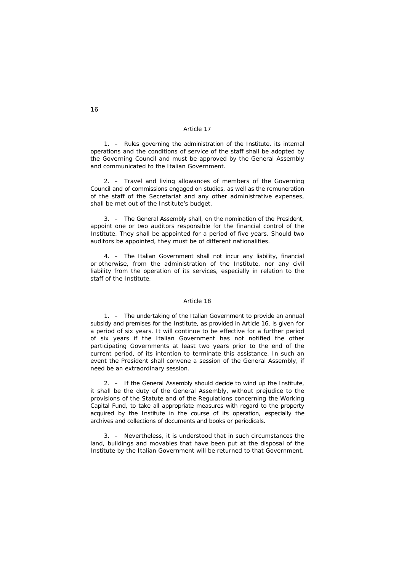1. – Rules governing the administration of the Institute, its internal operations and the conditions of service of the staff shall be adopted by the Governing Council and must be approved by the General Assembly and communicated to the Italian Government.

 2. – Travel and living allowances of members of the Governing Council and of commissions engaged on studies, as well as the remuneration of the staff of the Secretariat and any other administrative expenses, shall be met out of the Institute's budget.

 3. – The General Assembly shall, on the nomination of the President, appoint one or two auditors responsible for the financial control of the Institute. They shall be appointed for a period of five years. Should two auditors be appointed, they must be of different nationalities.

 4. – The Italian Government shall not incur any liability, financial or otherwise, from the administration of the Institute, nor any civil liability from the operation of its services, especially in relation to the staff of the Institute.

#### *Article 18*

 1. – The undertaking of the Italian Government to provide an annual subsidy and premises for the Institute, as provided in Article 16, is given for a period of six years. It will continue to be effective for a further period of six years if the Italian Government has not notified the other participating Governments at least two years prior to the end of the current period, of its intention to terminate this assistance. In such an event the President shall convene a session of the General Assembly, if need be an extraordinary session.

 2. – If the General Assembly should decide to wind up the Institute, it shall be the duty of the General Assembly, without prejudice to the provisions of the Statute and of the Regulations concerning the Working Capital Fund, to take all appropriate measures with regard to the property acquired by the Institute in the course of its operation, especially the archives and collections of documents and books or periodicals.

 3. – Nevertheless, it is understood that in such circumstances the land, buildings and movables that have been put at the disposal of the Institute by the Italian Government will be returned to that Government.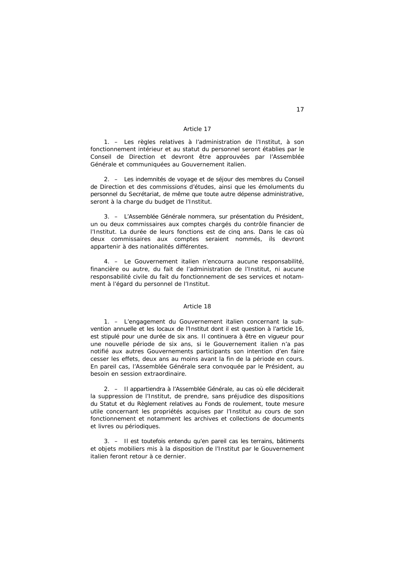1. – Les règles relatives à l'administration de l'Institut, à son fonctionnement intérieur et au statut du personnel seront établies par le Conseil de Direction et devront être approuvées par l'Assemblée Générale et communiquées au Gouvernement italien.

 2. – Les indemnités de voyage et de séjour des membres du Conseil de Direction et des commissions d'études, ainsi que les émoluments du personnel du Secrétariat, de même que toute autre dépense administrative, seront à la charge du budget de l'Institut.

 3. – L'Assemblée Générale nommera, sur présentation du Président, un ou deux commissaires aux comptes chargés du contrôle financier de l'Institut. La durée de leurs fonctions est de cinq ans. Dans le cas où deux commissaires aux comptes seraient nommés, ils devront appartenir à des nationalités différentes.

 4. – Le Gouvernement italien n'encourra aucune responsabilité, financière ou autre, du fait de l'administration de l'Institut, ni aucune responsabilité civile du fait du fonctionnement de ses services et notamment à l'égard du personnel de l'Institut.

#### *Article 18*

 1. – L'engagement du Gouvernement italien concernant la subvention annuelle et les locaux de l'Institut dont il est question à l'article 16, est stipulé pour une durée de six ans. Il continuera à être en vigueur pour une nouvelle période de six ans, si le Gouvernement italien n'a pas notifié aux autres Gouvernements participants son intention d'en faire cesser les effets, deux ans au moins avant la fin de la période en cours. En pareil cas, l'Assemblée Générale sera convoquée par le Président, au besoin en session extraordinaire.

 2. – Il appartiendra à l'Assemblée Générale, au cas où elle déciderait la suppression de l'Institut, de prendre, sans préjudice des dispositions du Statut et du Règlement relatives au Fonds de roulement, toute mesure utile concernant les propriétés acquises par l'Institut au cours de son fonctionnement et notamment les archives et collections de documents et livres ou périodiques.

 3. – Il est toutefois entendu qu'en pareil cas les terrains, bâtiments et objets mobiliers mis à la disposition de l'Institut par le Gouvernement italien feront retour à ce dernier.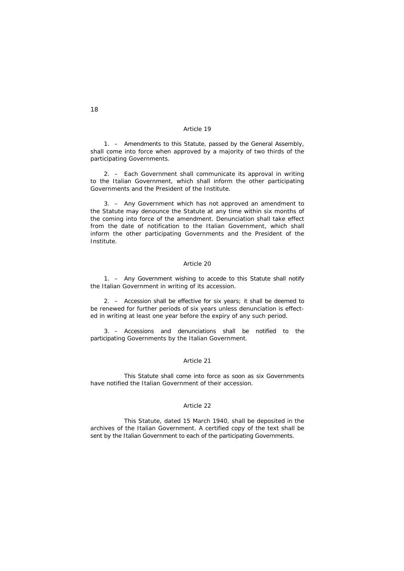1. – Amendments to this Statute, passed by the General Assembly, shall come into force when approved by a majority of two thirds of the participating Governments.

 2. – Each Government shall communicate its approval in writing to the Italian Government, which shall inform the other participating Governments and the President of the Institute.

 3. – Any Government which has not approved an amendment to the Statute may denounce the Statute at any time within six months of the coming into force of the amendment. Denunciation shall take effect from the date of notification to the Italian Government, which shall inform the other participating Governments and the President of the Institute.

# *Article 20*

 1. – Any Government wishing to accede to this Statute shall notify the Italian Government in writing of its accession.

 2. – Accession shall be effective for six years; it shall be deemed to be renewed for further periods of six years unless denunciation is effected in writing at least one year before the expiry of any such period.

 3. – Accessions and denunciations shall be notified to the participating Governments by the Italian Government.

## *Article 21*

 This Statute shall come into force as soon as six Governments have notified the Italian Government of their accession.

## *Article 22*

 This Statute, dated 15 March 1940, shall be deposited in the archives of the Italian Government. A certified copy of the text shall be sent by the Italian Government to each of the participating Governments.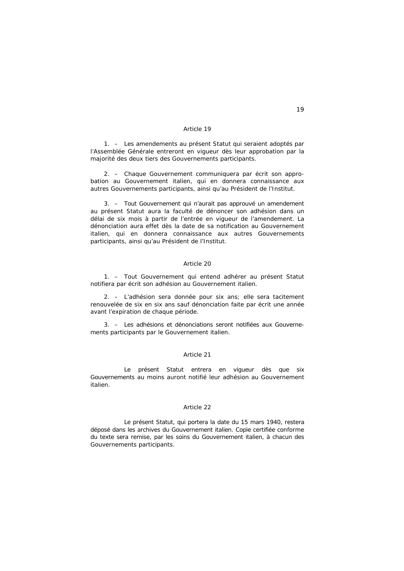1. – Les amendements au présent Statut qui seraient adoptés par l'Assemblée Générale entreront en vigueur dès leur approbation par la majorité des deux tiers des Gouvernements participants.

 2. – Chaque Gouvernement communiquera par écrit son approbation au Gouvernement italien, qui en donnera connaissance aux autres Gouvernements participants, ainsi qu'au Président de l'Institut.

 3. – Tout Gouvernement qui n'aurait pas approuvé un amendement au présent Statut aura la faculté de dénoncer son adhésion dans un délai de six mois à partir de l'entrée en vigueur de l'amendement. La dénonciation aura effet dès la date de sa notification au Gouvernement italien, qui en donnera connaissance aux autres Gouvernements participants, ainsi qu'au Président de l'Institut.

## *Article 20*

 1. – Tout Gouvernement qui entend adhérer au présent Statut notifiera par écrit son adhésion au Gouvernement italien.

 2. – L'adhésion sera donnée pour six ans; elle sera tacitement renouvelée de six en six ans sauf dénonciation faite par écrit une année avant l'expiration de chaque période.

 3. – Les adhésions et dénonciations seront notifiées aux Gouvernements participants par le Gouvernement italien.

#### *Article 21*

 Le présent Statut entrera en vigueur dès que six Gouvernements au moins auront notifié leur adhésion au Gouvernement italien.

#### *Article 22*

 Le présent Statut, qui portera la date du 15 mars 1940, restera déposé dans les archives du Gouvernement italien. Copie certifiée conforme du texte sera remise, par les soins du Gouvernement italien, à chacun des Gouvernements participants.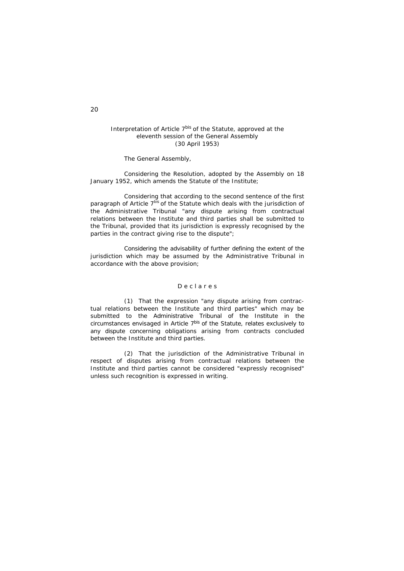## *Interpretation of Article 7bis of the Statute, approved at the eleventh session of the General Assembly (30 April 1953)*

The General Assembly,

 Considering the Resolution, adopted by the Assembly on 18 January 1952, which amends the Statute of the Institute;

 Considering that according to the second sentence of the first paragraph of Article 7*bis* of the Statute which deals with the jurisdiction of the Administrative Tribunal "any dispute arising from contractual relations between the Institute and third parties shall be submitted to the Tribunal, provided that its jurisdiction is expressly recognised by the parties in the contract giving rise to the dispute";

 Considering the advisability of further defining the extent of the jurisdiction which may be assumed by the Administrative Tribunal in accordance with the above provision;

## *D e c l a r e s*

 (1) That the expression "any dispute arising from contractual relations between the Institute and third parties" which may be submitted to the Administrative Tribunal of the Institute in the circumstances envisaged in Article 7*bis* of the Statute, relates exclusively to any dispute concerning obligations arising from contracts concluded between the Institute and third parties.

 (2) That the jurisdiction of the Administrative Tribunal in respect of disputes arising from contractual relations between the Institute and third parties cannot be considered "expressly recognised" unless such recognition is expressed in writing.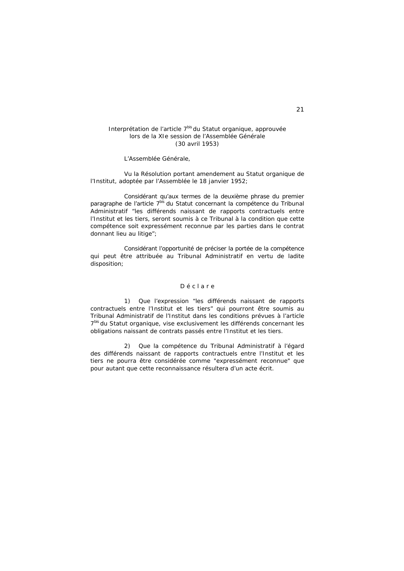## *Interprétation de l'article 7bis du Statut organique, approuvée lors de la XIe session de l'Assemblée Générale (30 avril 1953)*

L'Assemblée Générale,

 Vu la Résolution portant amendement au Statut organique de l'Institut, adoptée par l'Assemblée le 18 janvier 1952;

 Considérant qu'aux termes de la deuxième phrase du premier paragraphe de l'article 7*bis* du Statut concernant la compétence du Tribunal Administratif "les différends naissant de rapports contractuels entre l'Institut et les tiers, seront soumis à ce Tribunal à la condition que cette compétence soit expressément reconnue par les parties dans le contrat donnant lieu au litige";

 Considérant l'opportunité de préciser la portée de la compétence qui peut être attribuée au Tribunal Administratif en vertu de ladite disposition;

## *D é c l a r e*

 1) Que l'expression "les différends naissant de rapports contractuels entre l'Institut et les tiers" qui pourront être soumis au Tribunal Administratif de l'Institut dans les conditions prévues à l'article 7*bis* du Statut organique, vise exclusivement les différends concernant les obligations naissant de contrats passés entre l'Institut et les tiers.

 2) Que la compétence du Tribunal Administratif à l'égard des différends naissant de rapports contractuels entre l'Institut et les tiers ne pourra être considérée comme "expressément reconnue" que pour autant que cette reconnaissance résultera d'un acte écrit.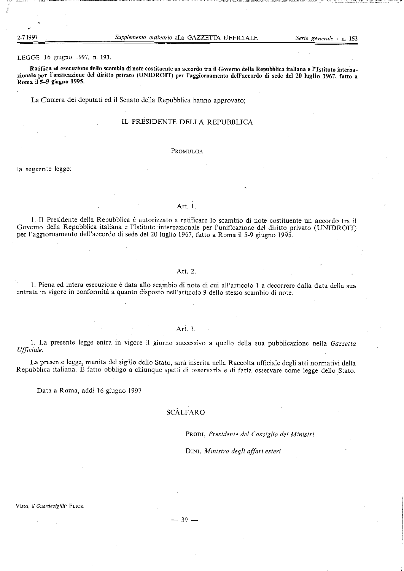2-7-199

LEGGE 16 giugno 1997, n. 193.

Ratifica ed esecuzione dello scambio di note costituente un accordo tra il Governo della Repubblica italiana e l'Istituto internazionale per l'unificazione del diritto privato (UNIDROIT) per l'aggiornamento dell'accordo di sede del 20 luglio 1967, fatto a Roma il 5-9 giugno 1995.

La Camera dei deputati ed il Senato della Repubblica hanno approvato;

## IL PRESIDENTE DELLA REPUBBLICA

#### PROMULGA

la seguente legge:

## Art. 1.

1. Il Presidente della Repubblica è autorizzato a ratificare lo scambio di note costituente un accordo tra il Governo della Repubblica italiana e l'Istituto internazionale per l'unificazione del diritto privato (UNIDROIT) per l'aggiornamento dell'accordo di sede del 20 luglio 1967, fatto a Roma il 5-9 giugno 1995.

# Art. 2.

1. Piena ed intera esecuzione è data allo scambio di note di cui all'articolo 1 a decorrere dalla data della sua entrata in vigore in conformità a quanto disposto nell'articolo 9 dello stesso scambio di note.

## Art. 3.

1. La presente legge entra in vigore il giorno successivo a quello della sua pubblicazione nella Gazzetta Ufficiale.

La presente legge, munita del sigillo dello Stato, sarà inserita nella Raccolta ufficiale degli atti normativi della Repubblica italiana. È fatto obbligo a chiunque spetti di osservarla e di farla osservare come legge dello Stato.

Data a Roma, addi 16 giugno 1997

# SCÀLFARO

PRODI, Presidente del Consiglio dei Ministri

DINI, Ministro degli affari esteri

Visto, il Guardasigilli: FLICK

 $-39-$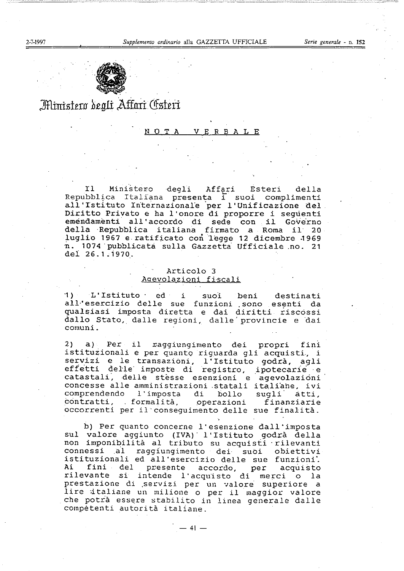Serie generale - n. 152



# Ministero degli Affari Csteri

#### $\Omega$ **VERBALE**

Ministero degli I1 Affari Esteri della Repubblica Italiana presenta i suoi complimenti all'Istituto Internazionale per l'Unificazione del Diritto Privato e ha l'onore di proporre i seguenti emendamenti all'accordo di sede con il Governo della Repubblica italiana firmato a Roma il 20 luglio 1967 e ratificato con legge 12 dicembre 1969 n. 1074 pubblicata sulla Gazzetta Ufficiale no. 21 del 26.1.1970.

# Articolo 3 Agevolazioni fiscali

L'Istituto ed i 1) suoi beni destinati all'esercizio delle sue funzioni sono esenti da qualsiasi imposta diretta e dai diritti riscossi dallo Stato, dalle regioni, dalle provincie e dai comuni.

2) a) Per il raggiungimento dei propri fini istituzionali e per quanto riguarda gli acquisti, i servizi e le transazioni, l'Istituto godrà, agli<br>effetti delle imposte di registro, ipotecarie e catastali, delle stesse esenzioni e agevolazioni concesse alle amministrazioni statali italiane, ivi comprendendo l'imposta di bollo sugli atti, contratti, formalità, operazioni finanziarie occorrenti per il conseguimento delle sue finalità.

b) Per quanto concerne l'esenzione dall'imposta sul valore aggiunto (IVA) l'Istituto godrà della non imponibilità al tributo su acquisti rilevanti connessi al raggiungimento dei suoi obiettivi istituzionali ed all'esercizio delle sue funzioni. Ai fini del presente accordo, per acquisto rilevante si intende l'acquisto di merci o la prestazione di servizi per un valore superiore a lire italiane un milione o per il maggior valore che potrà essere stabilito in linea generale dalle competenti autorità italiane.

 $-41 -$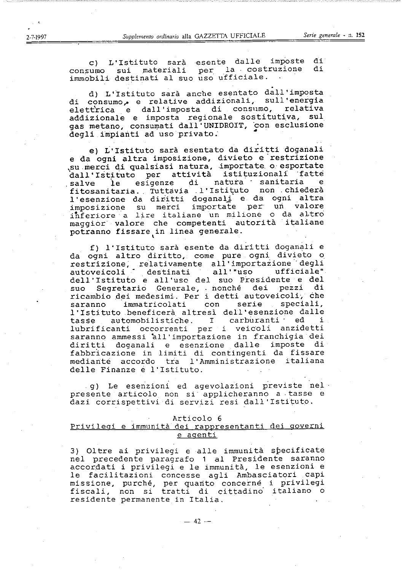c) L'Istituto sarà esente dalle imposte di consumo sui materiali per la costruzione di immobili destinati al suo uso ufficiale.

d) L'Istituto sarà anche esentato dall'imposta di consumo, e relative addizionali, sull'energia elettrica e dall'imposta di consumo, relativa addizionale e imposta regionale sostitutiva, sul gas metano, consumati dall'UNIDROIT, con esclusione degli impianti ad uso privato.

e) L'Istituto sarà esentato da diritti doganali e da ogni altra imposizione, divieto e restrizione su merci di qualsiasi natura, importate o esportate<br>dall'Istituto per attività istituzionali fatte salve le esigenze di natura sanitaria e<br>fitosanitaria. Tuttavia l'Istituto non chiederà salve l'esenzione da diritti doganali e da ogni altra imposizione su merci importate per un valore inferiore a lire italiane un milione o da altro maggior valore che competenti autorità italiane potranno fissare in linea generale.

f) l'Istituto sarà esente da diritti doganali e da ogni altro diritto, come pure ogni divieto o restrizione, relativamente all'importazione degli ufficiale" autoveicoli destinati all'"uso dell'Istituto e all'uso del suo Presidente e del Segretario Generale, nonché dei pezzi di suo ricambio dei medesimi. Per i detti autoveicoli, che saranno immatricolati con serie speciali, l'Istituto beneficerà altresì dell'esenzione dalle automobilistiche. I carburanti ' ed i tasse occorrenti per i veicoli anzidetti lubrificanti saranno ammessi all'importazione in franchigia dei diritti doganali e esenzione dalle imposte di fabbricazione in limiti di contingenti da fissare mediante accordo tra l'Amministrazione italiana delle Finanze e l'Istituto.

g) Le esenzioni ed agevolazioni previste nel presente articolo non si applicheranno a tasse e dazi corrispettivi di servizi resi dall'Istituto.

#### Articolo 6

## Privilegi e immunità dei rappresentanti dei governi e agenti

3) Oltre ai privilegi e alle immunità specificate nel precedente paragrafo 1 al Presidente saranno accordati i privilegi e le immunità, le esenzioni e le facilitazioni concesse agli Ambasciatori capi missione, purché, per quanto concerne i privilegi<br>fiscali, non si tratti di cittadino italiano o residente permanente in Italia.

 $-42-$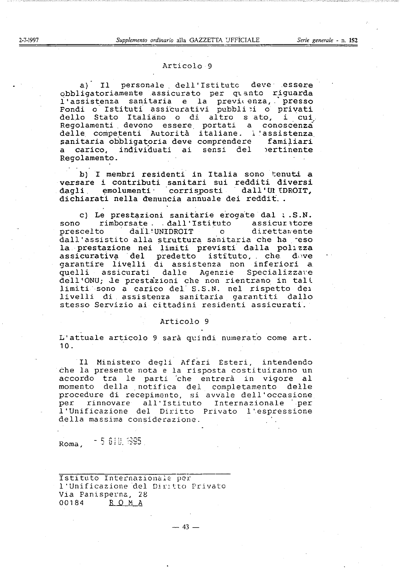## Articolo 9

a) Il personale dell'Istituto deve essere obbligatoriamente assicurato per quanto riguarda l'assistenza sanitaria e la previdenza, presso<br>Fondi o Istituti assicurativi pubbli i o privati dello Stato Italiano o di altro sato, i cui Regolamenti devono essere portati a conoscenza<br>delle competenti Autorità italiane. l'assistenza sanitaria obbligatoria deve comprendere familiari carico, individuati ai sensi del pertinente a. Regolamento.

b) I membri residenti in Italia sono tenuti a versare i contributi sanitari sui redditi diversi dagli emolumenti corrisposti dall'UltDROIT, dichiarati nella denuncia annuale dei reddit...

c) Le prestazioni sanitarie erogate dal : .S.N. rimborsate. dall'Istituto assicuratore sono dall'UNIDROIT o direttamente prescelto dall'assistito alla struttura sanitaria che ha reso la prestazione nei limiti previsti dalla polizza assicurativa del predetto istituto, che dove garantire livelli di assistenza non inferiori a quelli assicurati dalle Agenzie Specializzare dell'ONU; le prestazioni che non rientrano in tali limiti sono a carico del S.S.N. nel rispetto dei livelli di assistenza sanitaria garantiti dallo stesso Servizio ai cittadini residenti assicurati.

#### Articolo 9

L'attuale articolo 9 sarà quindi numerato come art.  $10.$ 

Il Ministero degli Affari Esteri, intendendo che la presente nota e la risposta costituiranno un accordo tra le parti che entrerà in vigore al momento della notifica del completamento delle procedure di recepimento, si avvale dell'occasione per rinnovare all'Istituto Internazionale per l'Unificazione del Diritto Privato l'espressione della massima considerazione.

Roma, 5 610, 1995

Istituto Internazionale per l'Unificazione del Diritto Privato Via Panisperna, 28 ROMA 00184

2-7-1997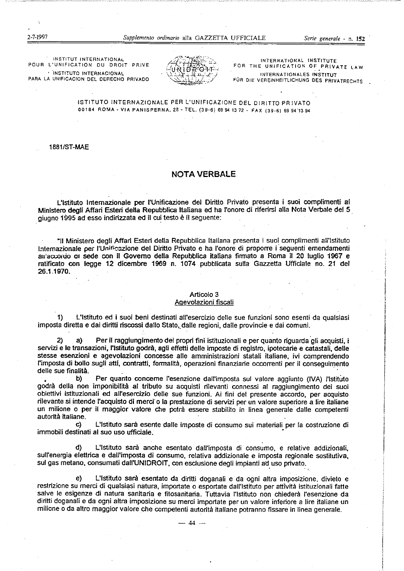INSTITUT INTERNATIONAL POUR L'UNIFICATION DU DROIT PRIVE · INSTITUTO INTERNACIONAL PARA LA UNIFICACION DEL DERECHO PRIVADO



INTERNATIONAL INSTITUTE FOR THE UNIFICATION OF PRIVATE LAW INTERNATIONALES INSTITUT FÚR DIE VEREINHEITLICHUNG DES PRIVATRECHTS

ISTITUTO INTERNAZIONALE PER L'UNIFICAZIONE DEL DIRITTO PRIVATO 00184 ROMA - VIA PANISPERNA, 28 - TEL. (39-6) 69 94 13 72 - FAX (39-6) 69 94 13 94

**1881/ST-MAE** 

# **NOTA VERBALE**

L'istituto Internazionale per l'Unificazione del Diritto Privato presenta i suoi complimenti al Ministero degli Affari Esteri della Repubblica Italiana ed ha l'onore di riferirsi alla Nota Verbale del 5 giugno 1995 ad esso indirizzata ed il cui testo è il seguente:

"Il Ministero degli Affari Esteri della Repubblica Italiana presenta i suoi complimenti all'Istituto Internazionale per l'Unificazione del Diritto Privato e ha l'onore di proporre i seguenti emendamenti au accordo or sede con il Governo della Repubblica italiana firmato a Roma il 20 luglio 1967 e ratificato con legge 12 dicembre 1969 n. 1074 pubblicata sulla Gazzetta Ufficiale no. 21 del 26.1.1970.

# Articolo 3

# Agevolazioni fiscali

 $\uparrow$ L'Istituto ed i suoi beni destinati all'esercizio delle sue funzioni sono esenti da qualsiasi imposta diretta e dai diritti riscossi dallo Stato, dalle regioni, dalle provincie e dai comuni.

 $\mathbf{2}$ a) Per il raggiungimento dei propri fini istituzionali e per quanto riguarda gli acquisti, i servizi e le transazioni, l'Istituto godrà, agli effetti delle imposte di registro, ipotecarie e catastali, delle stesse esenzioni e agevolazioni concesse alle amministrazioni statali italiane, ivi comprendendo l'imposta di bollo sugli atti, contratti, formalità, operazioni finanziarie occorrenti per il consequimento delle sue finalità.

b) Per quanto conceme l'esenzione dall'imposta sul valore aggiunto (IVA) l'Istituto godrà della non imponibilità al tributo su acquisti rilevanti connessi al raggiungimento dei suoi obiettivi istituzionali ed all'esercizio delle sue funzioni. Ai fini del presente accordo, per acquisto rilevante si intende l'acquisto di merci o la prestazione di servizi per un valore superiore a lire italiane un milione o per il maggior valore che potrà essere stabilito in linea generale dalle competenti autorità italiane.

L'Istituto sarà esente dalle imposte di consumo sui materiali per la costruzione di C) immobili destinati al suo uso ufficiale.

L'Istituto sarà anche esentato dall'imposta di consumo, e relative addizionali, d) sull'energia elettrica e dall'imposta di consumo, relativa addizionale e imposta regionale sostitutiva, sul gas metano, consumati dall'UNIDROIT, con esclusione degli impianti ad uso privato.

 $e)$ L'Istituto sarà esentato da diritti doganali e da ogni altra imposizione, divieto e restrizione su merci di qualsiasi natura, importate o esportate dall'Istituto per attività istituzionali fatte salve le esigenze di natura sanitaria e fitosanitaria. Tuttavia l'Istituto non chiederà l'esenzione da diritti doganali e da ogni altra imposizione su merci importate per un valore inferiore a lire italiane un milione o da altro maggior valore che competenti autorità italiane potranno fissare in linea generale.

2-7-1997

 $-44$   $-$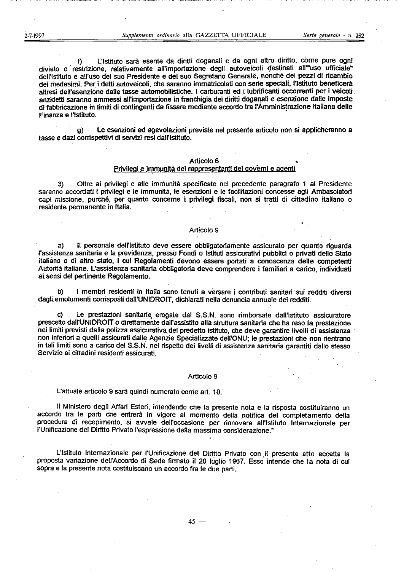L'Istituto sarà esente da diritti doganali e da ogni altro diritto, come pure ogni f) divieto o restrizione, relativamente all'importazione degli autoveicoli destinati all'"uso ufficiale" dell'Istituto e all'uso del suo Presidente e del suo Segretario Generale, nonché dei pezzi di ricambio dei medesimi. Per i detti autoveicoli, che saranno immatricolati con serie speciali, l'Istituto beneficerà altresì dell'esenzione dalle tasse automobilistiche. I carburanti ed i lubrificanti occorrenti per i veicoli. anzidetti saranno ammessi all'importazione in franchigia dei diritti doganali e esenzione dalle imposte di fabbricazione in limiti di contingenti da fissare mediante accordo tra l'Amministrazione italiana delle Finanze e l'Istituto.

Le esenzioni ed agevolazioni previste nel presente articolo non si applicheranno a  $\mathbf{Q}$ tasse e dazi corrispettivi di servizi resi dall'Istituto.

#### Articolo 6

## Privilegi e immunità dei rappresentanti dei governi e agenti

Oltre ai privilegi e alle immunità specificate nel precedente paragrafo 1 al Presidente 3) saranno accordati i privilegi e le immunità, le esenzioni e le facilitazioni concesse agli Ambasciatori capi missione, purché, per quanto conceme i privilegi fiscali, non si tratti di cittadino italiano o residente permanente in Italia.

#### **Articolo 9**

Il personale dell'Istituto deve essere obbligatoriamente assicurato per quanto riguarda a) l'assistenza sanitaria e la previdenza, presso Fondi o Istituti assicurativi pubblici o privati dello Stato italiano o di altro stato, i cui Regolamenti devono essere portati a conoscenza delle competenti Autorità italiane. L'assistenza sanitaria obbligatoria deve comprendere i familiari a carico, individuati ai sensi del pertinente Regolamento.

b) I membri residenti in Italia sono tenuti a versare i contributi sanitari sui redditi diversi dagli emolumenti comsposti dall'UNIDROIT, dichiarati nella denuncia annuale dei redditi.

Le prestazioni sanitarie erogate dal S.S.N. sono rimborsate dall'Istituto assicuratore prescelto dall'UNIDROIT o direttamente dall'assistito alla struttura sanitaria che ha reso la prestazione nei limiti previsti dalla polizza assicurativa del predetto istituto, che deve garantire livelli di assistenza non inferiori a quelli assicurati dalle Agenzie Specializzate dell'ONU; le prestazioni che non rientrano in tali limiti sono a carico del S.S.N. nel rispetto dei livelli di assistenza sanitaria garantiti dallo stesso Servizio ai cittadini residenti assicurati.

#### Articolo 9

L'attuale articolo 9 sarà quindi numerato come art. 10.

Il Ministero degli Affari Esteri, intendendo che la presente nota e la risposta costituiranno un accordo tra le parti che entrerà in vigore al momento della notifica del completamento della procedura di recepimento, si avvale dell'occasione per rinnovare all'Istituto Internazionale per l'Unificazione del Diritto Privato l'espressione della massima considerazione."

L'Istituto Internazionale per l'Unificazione del Diritto Privato con il presente atto accetta la proposta variazione dell'Accordo di Sede firmato il 20 luglio 1967. Esso intende che la nota di cui sopra e la presente nota costituiscano un accordo fra le due parti.

 $-45-$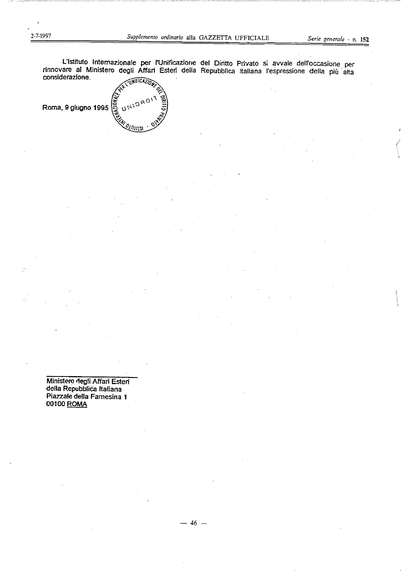L'Istituto Internazionale per l'Unificazione del Diritto Privato si avvale dell'occasione per rinnovare al Ministero degli Affari Esteri della Repubblica Italiana l'espressione della più alta considerazione. ·UNIFICAZIO

 $46 -$ 

UNIDRO Roma, 9 giugno 1995 וונו*וי*ש

Ministero degli Affari Esteri della Repubblica Italiana Piazzale della Famesina 1 00100 ROMA